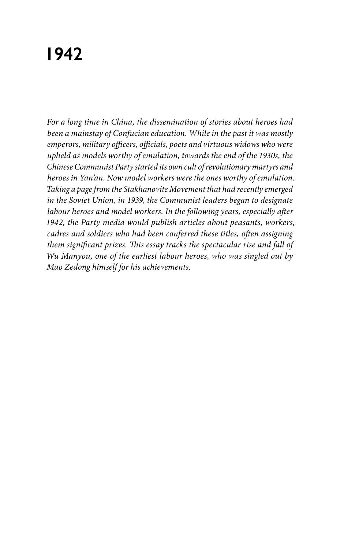# **1942**

*For a long time in China, the dissemination of stories about heroes had been a mainstay of Confucian education. While in the past it was mostly emperors, military officers, officials, poets and virtuous widows who were upheld as models worthy of emulation, towards the end of the 1930s, the Chinese Communist Party started its own cult of revolutionary martyrs and heroes in Yan'an. Now model workers were the ones worthy of emulation. Taking a page from the Stakhanovite Movement that had recently emerged in the Soviet Union, in 1939, the Communist leaders began to designate labour heroes and model workers. In the following years, especially after 1942, the Party media would publish articles about peasants, workers, cadres and soldiers who had been conferred these titles, often assigning them significant prizes. This essay tracks the spectacular rise and fall of Wu Manyou, one of the earliest labour heroes, who was singled out by Mao Zedong himself for his achievements.*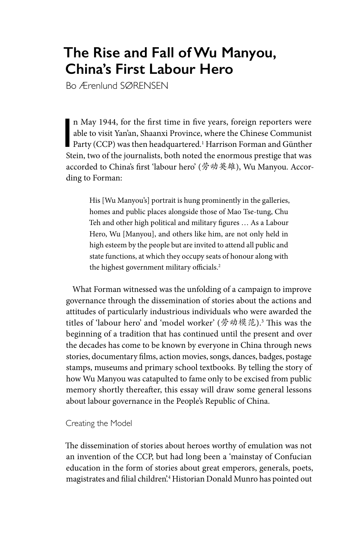## **The Rise and Fall of Wu Manyou, China's First Labour Hero**

Bo Ærenlund SØRENSEN

n May 1944, for the first time in five years, foreign reporters were<br>able to visit Yan'an, Shaanxi Province, where the Chinese Communist<br>Party (CCP) was then headquartered.<sup>1</sup> Harrison Forman and Günther<br>Stein two of the i n May 1944, for the first time in five years, foreign reporters were able to visit Yan'an, Shaanxi Province, where the Chinese Communist Stein, two of the journalists, both noted the enormous prestige that was accorded to China's first 'labour hero' (劳动英雄), Wu Manyou. According to Forman:

> His [Wu Manyou's] portrait is hung prominently in the galleries, homes and public places alongside those of Mao Tse-tung, Chu Teh and other high political and military figures … As a Labour Hero, Wu [Manyou], and others like him, are not only held in high esteem by the people but are invited to attend all public and state functions, at which they occupy seats of honour along with the highest government military officials.<sup>2</sup>

What Forman witnessed was the unfolding of a campaign to improve governance through the dissemination of stories about the actions and attitudes of particularly industrious individuals who were awarded the titles of 'labour hero' and 'model worker' (劳动模范).3 This was the beginning of a tradition that has continued until the present and over the decades has come to be known by everyone in China through news stories, documentary films, action movies, songs, dances, badges, postage stamps, museums and primary school textbooks. By telling the story of how Wu Manyou was catapulted to fame only to be excised from public memory shortly thereafter, this essay will draw some general lessons about labour governance in the People's Republic of China.

Creating the Model

The dissemination of stories about heroes worthy of emulation was not an invention of the CCP, but had long been a 'mainstay of Confucian education in the form of stories about great emperors, generals, poets, magistrates and filial children'.4 Historian Donald Munro has pointed out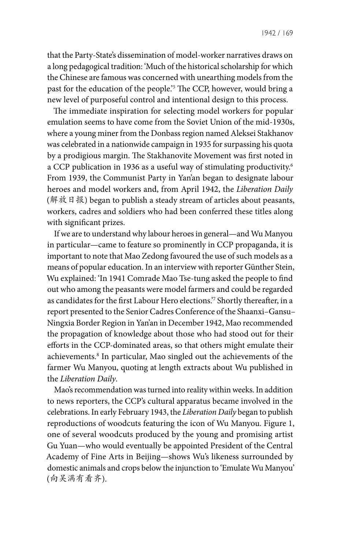that the Party-State's dissemination of model-worker narratives draws on a long pedagogical tradition: 'Much of the historical scholarship for which the Chinese are famous was concerned with unearthing models from the past for the education of the people.'5 The CCP, however, would bring a new level of purposeful control and intentional design to this process.

The immediate inspiration for selecting model workers for popular emulation seems to have come from the Soviet Union of the mid-1930s, where a young miner from the Donbass region named Aleksei Stakhanov was celebrated in a nationwide campaign in 1935 for surpassing his quota by a prodigious margin. The Stakhanovite Movement was first noted in a CCP publication in 1936 as a useful way of stimulating productivity.6 From 1939, the Communist Party in Yan'an began to designate labour heroes and model workers and, from April 1942, the *Liberation Daily* (解放日报) began to publish a steady stream of articles about peasants, workers, cadres and soldiers who had been conferred these titles along with significant prizes.

If we are to understand why labour heroes in general—and Wu Manyou in particular—came to feature so prominently in CCP propaganda, it is important to note that Mao Zedong favoured the use of such models as a means of popular education. In an interview with reporter Günther Stein, Wu explained: 'In 1941 Comrade Mao Tse-tung asked the people to find out who among the peasants were model farmers and could be regarded as candidates for the first Labour Hero elections.'7 Shortly thereafter, in a report presented to the Senior Cadres Conference of the Shaanxi–Gansu– Ningxia Border Region in Yan'an in December 1942, Mao recommended the propagation of knowledge about those who had stood out for their efforts in the CCP-dominated areas, so that others might emulate their achievements.8 In particular, Mao singled out the achievements of the farmer Wu Manyou, quoting at length extracts about Wu published in the *Liberation Daily*.

Mao's recommendation was turned into reality within weeks. In addition to news reporters, the CCP's cultural apparatus became involved in the celebrations. In early February 1943, the *Liberation Daily* began to publish reproductions of woodcuts featuring the icon of Wu Manyou. Figure 1, one of several woodcuts produced by the young and promising artist Gu Yuan—who would eventually be appointed President of the Central Academy of Fine Arts in Beijing—shows Wu's likeness surrounded by domestic animals and crops below the injunction to 'Emulate Wu Manyou' (向吴满有看齐).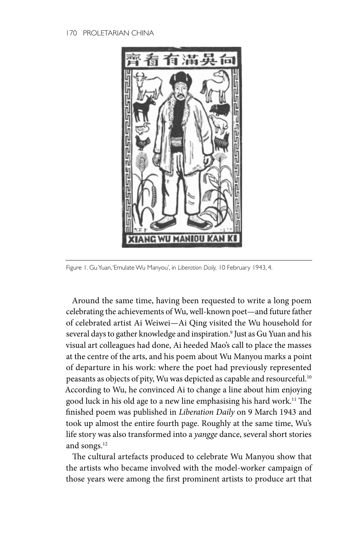#### 170 PROLETARIAN CHINA



Figure 1. Gu Yuan, 'Emulate Wu Manyou', in *Liberation Daily,* 10 February 1943, 4.

Around the same time, having been requested to write a long poem celebrating the achievements of Wu, well-known poet—and future father of celebrated artist Ai Weiwei—Ai Qing visited the Wu household for several days to gather knowledge and inspiration.9 Just as Gu Yuan and his visual art colleagues had done, Ai heeded Mao's call to place the masses at the centre of the arts, and his poem about Wu Manyou marks a point of departure in his work: where the poet had previously represented peasants as objects of pity, Wu was depicted as capable and resourceful.<sup>10</sup> According to Wu, he convinced Ai to change a line about him enjoying good luck in his old age to a new line emphasising his hard work.11 The finished poem was published in *Liberation Daily* on 9 March 1943 and took up almost the entire fourth page. Roughly at the same time, Wu's life story was also transformed into a *yangge* dance, several short stories and songs.12

The cultural artefacts produced to celebrate Wu Manyou show that the artists who became involved with the model-worker campaign of those years were among the first prominent artists to produce art that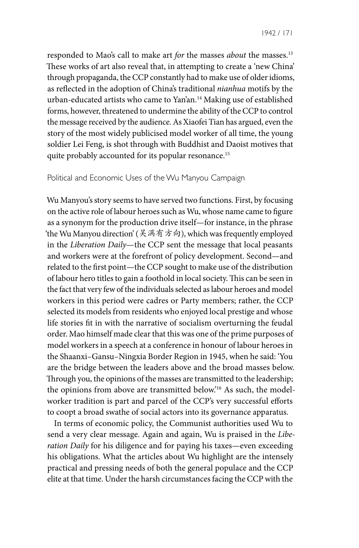responded to Mao's call to make art *for* the masses *about* the masses.13 These works of art also reveal that, in attempting to create a 'new China' through propaganda, the CCP constantly had to make use of older idioms, as reflected in the adoption of China's traditional *nianhua* motifs by the urban-educated artists who came to Yan'an.14 Making use of established forms, however, threatened to undermine the ability of the CCP to control the message received by the audience. As Xiaofei Tian has argued, even the story of the most widely publicised model worker of all time, the young soldier Lei Feng, is shot through with Buddhist and Daoist motives that quite probably accounted for its popular resonance.<sup>15</sup>

#### Political and Economic Uses of the Wu Manyou Campaign

Wu Manyou's story seems to have served two functions. First, by focusing on the active role of labour heroes such as Wu, whose name came to figure as a synonym for the production drive itself—for instance, in the phrase 'the Wu Manyou direction' (吴满有方向), which was frequently employed in the *Liberation Daily*—the CCP sent the message that local peasants and workers were at the forefront of policy development. Second—and related to the first point—the CCP sought to make use of the distribution of labour hero titles to gain a foothold in local society. This can be seen in the fact that very few of the individuals selected as labour heroes and model workers in this period were cadres or Party members; rather, the CCP selected its models from residents who enjoyed local prestige and whose life stories fit in with the narrative of socialism overturning the feudal order. Mao himself made clear that this was one of the prime purposes of model workers in a speech at a conference in honour of labour heroes in the Shaanxi–Gansu–Ningxia Border Region in 1945, when he said: 'You are the bridge between the leaders above and the broad masses below. Through you, the opinions of the masses are transmitted to the leadership; the opinions from above are transmitted below.'16 As such, the modelworker tradition is part and parcel of the CCP's very successful efforts to coopt a broad swathe of social actors into its governance apparatus.

In terms of economic policy, the Communist authorities used Wu to send a very clear message. Again and again, Wu is praised in the *Liberation Daily* for his diligence and for paying his taxes—even exceeding his obligations. What the articles about Wu highlight are the intensely practical and pressing needs of both the general populace and the CCP elite at that time. Under the harsh circumstances facing the CCP with the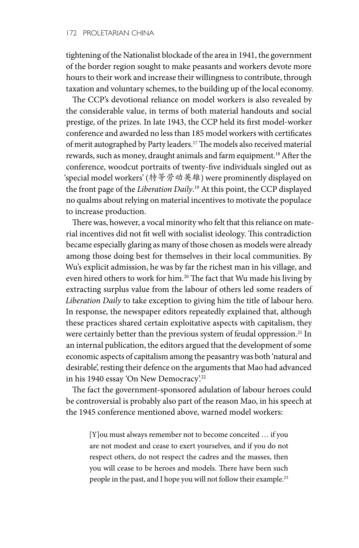tightening of the Nationalist blockade of the area in 1941, the government of the border region sought to make peasants and workers devote more hours to their work and increase their willingness to contribute, through taxation and voluntary schemes, to the building up of the local economy.

The CCP's devotional reliance on model workers is also revealed by the considerable value, in terms of both material handouts and social prestige, of the prizes. In late 1943, the CCP held its first model-worker conference and awarded no less than 185 model workers with certificates of merit autographed by Party leaders.17 The models also received material rewards, such as money, draught animals and farm equipment.<sup>18</sup> After the conference, woodcut portraits of twenty-five individuals singled out as 'special model workers' (特等劳动英雄) were prominently displayed on the front page of the *Liberation Daily*. 19 At this point, the CCP displayed no qualms about relying on material incentives to motivate the populace to increase production.

There was, however, a vocal minority who felt that this reliance on material incentives did not fit well with socialist ideology. This contradiction became especially glaring as many of those chosen as models were already among those doing best for themselves in their local communities. By Wu's explicit admission, he was by far the richest man in his village, and even hired others to work for him.<sup>20</sup> The fact that Wu made his living by extracting surplus value from the labour of others led some readers of *Liberation Daily* to take exception to giving him the title of labour hero. In response, the newspaper editors repeatedly explained that, although these practices shared certain exploitative aspects with capitalism, they were certainly better than the previous system of feudal oppression.<sup>21</sup> In an internal publication, the editors argued that the development of some economic aspects of capitalism among the peasantry was both 'natural and desirable', resting their defence on the arguments that Mao had advanced in his 1940 essay 'On New Democracy'.<sup>22</sup>

The fact the government-sponsored adulation of labour heroes could be controversial is probably also part of the reason Mao, in his speech at the 1945 conference mentioned above, warned model workers:

[Y]ou must always remember not to become conceited … if you are not modest and cease to exert yourselves, and if you do not respect others, do not respect the cadres and the masses, then you will cease to be heroes and models. There have been such people in the past, and I hope you will not follow their example.23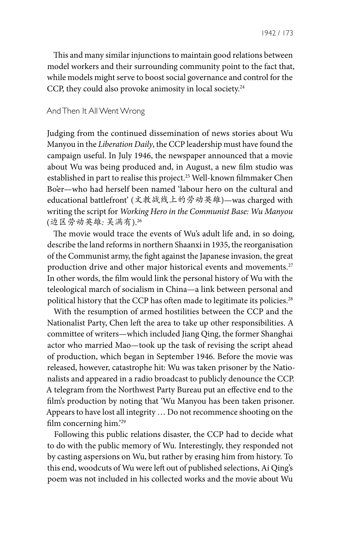This and many similar injunctions to maintain good relations between model workers and their surrounding community point to the fact that, while models might serve to boost social governance and control for the CCP, they could also provoke animosity in local society.<sup>24</sup>

### And Then It All Went Wrong

Judging from the continued dissemination of news stories about Wu Manyou in the *Liberation Daily*, the CCP leadership must have found the campaign useful. In July 1946, the newspaper announced that a movie about Wu was being produced and, in August, a new film studio was established in part to realise this project.<sup>25</sup> Well-known filmmaker Chen Bo'er—who had herself been named 'labour hero on the cultural and educational battlefront' (文教战线上的劳动英雄)—was charged with writing the script for *Working Hero in the Communist Base: Wu Manyou* (边区劳动英雄*:* 吴满有).26

The movie would trace the events of Wu's adult life and, in so doing, describe the land reforms in northern Shaanxi in 1935, the reorganisation of the Communist army, the fight against the Japanese invasion, the great production drive and other major historical events and movements.<sup>27</sup> In other words, the film would link the personal history of Wu with the teleological march of socialism in China—a link between personal and political history that the CCP has often made to legitimate its policies.<sup>28</sup>

With the resumption of armed hostilities between the CCP and the Nationalist Party, Chen left the area to take up other responsibilities. A committee of writers—which included Jiang Qing, the former Shanghai actor who married Mao—took up the task of revising the script ahead of production, which began in September 1946. Before the movie was released, however, catastrophe hit: Wu was taken prisoner by the Nationalists and appeared in a radio broadcast to publicly denounce the CCP. A telegram from the Northwest Party Bureau put an effective end to the film's production by noting that 'Wu Manyou has been taken prisoner. Appears to have lost all integrity … Do not recommence shooting on the film concerning him.'29

Following this public relations disaster, the CCP had to decide what to do with the public memory of Wu. Interestingly, they responded not by casting aspersions on Wu, but rather by erasing him from history. To this end, woodcuts of Wu were left out of published selections, Ai Qing's poem was not included in his collected works and the movie about Wu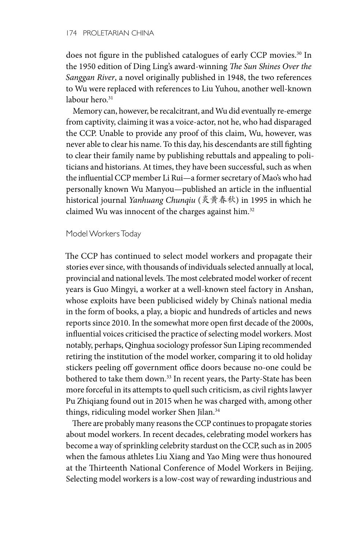does not figure in the published catalogues of early CCP movies.<sup>30</sup> In the 1950 edition of Ding Ling's award-winning *The Sun Shines Over the Sanggan River*, a novel originally published in 1948, the two references to Wu were replaced with references to Liu Yuhou, another well-known labour hero.<sup>31</sup>

Memory can, however, be recalcitrant, and Wu did eventually re-emerge from captivity, claiming it was a voice-actor, not he, who had disparaged the CCP. Unable to provide any proof of this claim, Wu, however, was never able to clear his name. To this day, his descendants are still fighting to clear their family name by publishing rebuttals and appealing to politicians and historians. At times, they have been successful, such as when the influential CCP member Li Rui—a former secretary of Mao's who had personally known Wu Manyou—published an article in the influential historical journal *Yanhuang Chunqiu* (炎黄春秋) in 1995 in which he claimed Wu was innocent of the charges against him.<sup>32</sup>

#### Model Workers Today

The CCP has continued to select model workers and propagate their stories ever since, with thousands of individuals selected annually at local, provincial and national levels. The most celebrated model worker of recent years is Guo Mingyi, a worker at a well-known steel factory in Anshan, whose exploits have been publicised widely by China's national media in the form of books, a play, a biopic and hundreds of articles and news reports since 2010. In the somewhat more open first decade of the 2000s, influential voices criticised the practice of selecting model workers. Most notably, perhaps, Qinghua sociology professor Sun Liping recommended retiring the institution of the model worker, comparing it to old holiday stickers peeling off government office doors because no-one could be bothered to take them down.<sup>33</sup> In recent years, the Party-State has been more forceful in its attempts to quell such criticism, as civil rights lawyer Pu Zhiqiang found out in 2015 when he was charged with, among other things, ridiculing model worker Shen Jilan.<sup>34</sup>

There are probably many reasons the CCP continues to propagate stories about model workers. In recent decades, celebrating model workers has become a way of sprinkling celebrity stardust on the CCP, such as in 2005 when the famous athletes Liu Xiang and Yao Ming were thus honoured at the Thirteenth National Conference of Model Workers in Beijing. Selecting model workers is a low-cost way of rewarding industrious and